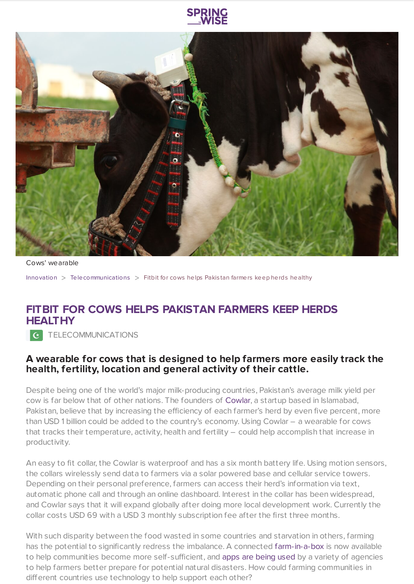



Cows' wearable

[Innovation](https://www.springwise.com/search?type=innovation)  $>$  [Telecommunications](https://www.springwise.com/search?type=innovation§or=telecoms-tech)  $>$  Fitbit for cows helps Pakistan farmers keep herds healthy

## **FITBIT FOR COWS HELPS PAKISTAN FARMERS KEEP HERDS HEALTHY**

**C** TELECOMMUNICATIONS

## **A wearable for cows that is designed to help farmers more easily track the health, fertility, location and general activity of their cattle.**

Despite being one of the world's major milk-producing countries, Pakistan's average milk yield per cow is far below that of other nations. The founders of [Cowlar](https://cowlar.com/), a startup based in Islamabad, Pakistan, believe that by increasing the efficiency of each farmer's herd by even five percent, more than USD 1 billion could be added to the country's economy. Using Cowlar – a wearable for cows that tracks their temperature, activity, health and fertility – could help accomplish that increase in productivity.

An easy to fit collar, the Cowlar is waterproof and has a six month battery life. Using motion sensors, the collars wirelessly send data to farmers via a solar powered base and cellular service towers. Depending on their personal preference, farmers can access their herd's information via text, automatic phone call and through an online dashboard. Interest in the collar has been widespread, and Cowlar says that it will expand globally after doing more local development work. Currently the collar costs USD 69 with a USD 3 monthly subscription fee after the first three months.

With such disparity between the food wasted in some countries and starvation in others, farming has the potential to significantly redress the imbalance. A connected [farm-in-a-box](https://www.springwise.com/off-grid-toolkit-tech-powered-community-farming) is now available to help communities become more self-sufficient, and apps are [being](https://www.springwise.com/environmental-app-support-farmers-nigeria) used by a variety of agencies to help farmers better prepare for potential natural disasters. How could farming communities in different countries use technology to help support each other?